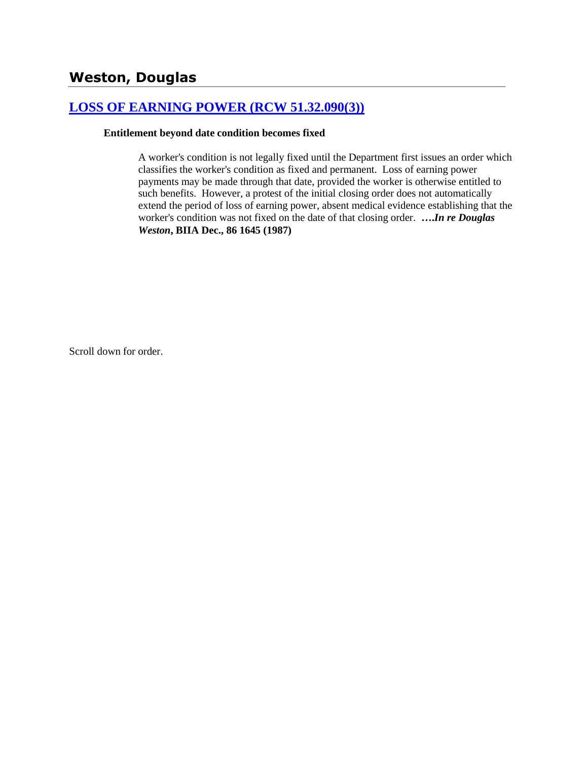# **[LOSS OF EARNING POWER \(RCW 51.32.090\(3\)\)](http://www.biia.wa.gov/SDSubjectIndex.html#LOSS_OF_EARNING_POWER)**

### **Entitlement beyond date condition becomes fixed**

A worker's condition is not legally fixed until the Department first issues an order which classifies the worker's condition as fixed and permanent. Loss of earning power payments may be made through that date, provided the worker is otherwise entitled to such benefits. However, a protest of the initial closing order does not automatically extend the period of loss of earning power, absent medical evidence establishing that the worker's condition was not fixed on the date of that closing order. **….***In re Douglas Weston***, BIIA Dec., 86 1645 (1987)**

Scroll down for order.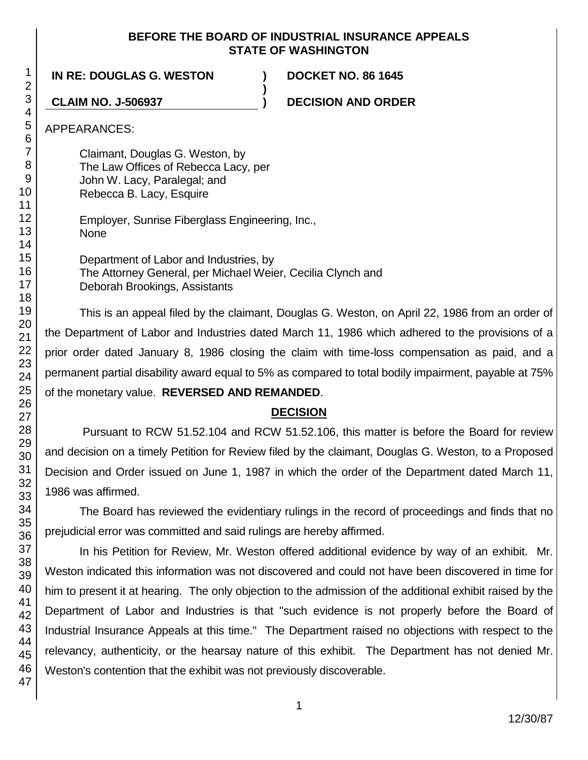### **BEFORE THE BOARD OF INDUSTRIAL INSURANCE APPEALS STATE OF WASHINGTON**

**)**

**IN RE: DOUGLAS G. WESTON ) DOCKET NO. 86 1645**

**CLAIM NO. J-506937 ) DECISION AND ORDER**

APPEARANCES:

Claimant, Douglas G. Weston, by The Law Offices of Rebecca Lacy, per John W. Lacy, Paralegal; and Rebecca B. Lacy, Esquire

Employer, Sunrise Fiberglass Engineering, Inc., None

Department of Labor and Industries, by The Attorney General, per Michael Weier, Cecilia Clynch and Deborah Brookings, Assistants

This is an appeal filed by the claimant, Douglas G. Weston, on April 22, 1986 from an order of the Department of Labor and Industries dated March 11, 1986 which adhered to the provisions of a prior order dated January 8, 1986 closing the claim with time-loss compensation as paid, and a permanent partial disability award equal to 5% as compared to total bodily impairment, payable at 75% of the monetary value. **REVERSED AND REMANDED**.

# **DECISION**

Pursuant to RCW 51.52.104 and RCW 51.52.106, this matter is before the Board for review and decision on a timely Petition for Review filed by the claimant, Douglas G. Weston, to a Proposed Decision and Order issued on June 1, 1987 in which the order of the Department dated March 11, 1986 was affirmed.

The Board has reviewed the evidentiary rulings in the record of proceedings and finds that no prejudicial error was committed and said rulings are hereby affirmed.

In his Petition for Review, Mr. Weston offered additional evidence by way of an exhibit. Mr. Weston indicated this information was not discovered and could not have been discovered in time for him to present it at hearing. The only objection to the admission of the additional exhibit raised by the Department of Labor and Industries is that "such evidence is not properly before the Board of Industrial Insurance Appeals at this time." The Department raised no objections with respect to the relevancy, authenticity, or the hearsay nature of this exhibit. The Department has not denied Mr. Weston's contention that the exhibit was not previously discoverable.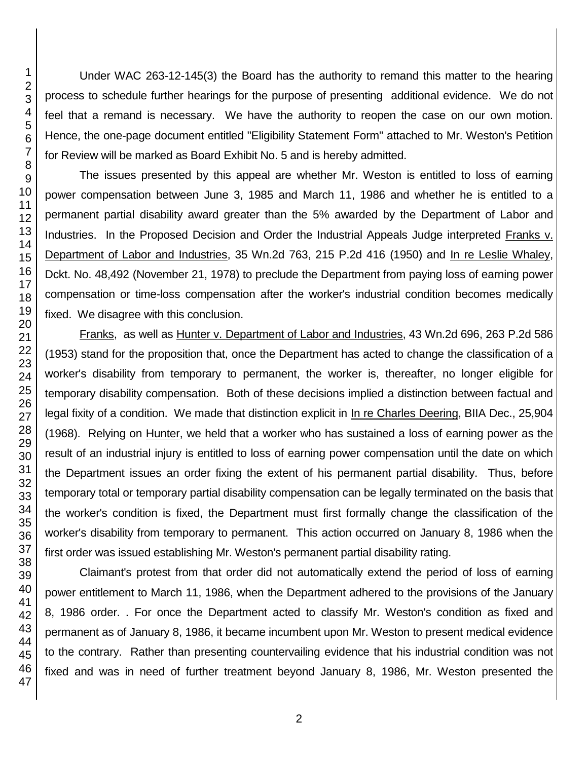Under WAC 263-12-145(3) the Board has the authority to remand this matter to the hearing process to schedule further hearings for the purpose of presenting additional evidence. We do not feel that a remand is necessary. We have the authority to reopen the case on our own motion. Hence, the one-page document entitled "Eligibility Statement Form" attached to Mr. Weston's Petition for Review will be marked as Board Exhibit No. 5 and is hereby admitted.

The issues presented by this appeal are whether Mr. Weston is entitled to loss of earning power compensation between June 3, 1985 and March 11, 1986 and whether he is entitled to a permanent partial disability award greater than the 5% awarded by the Department of Labor and Industries. In the Proposed Decision and Order the Industrial Appeals Judge interpreted Franks v. Department of Labor and Industries, 35 Wn.2d 763, 215 P.2d 416 (1950) and In re Leslie Whaley, Dckt. No. 48,492 (November 21, 1978) to preclude the Department from paying loss of earning power compensation or time-loss compensation after the worker's industrial condition becomes medically fixed. We disagree with this conclusion.

Franks, as well as Hunter v. Department of Labor and Industries, 43 Wn.2d 696, 263 P.2d 586 (1953) stand for the proposition that, once the Department has acted to change the classification of a worker's disability from temporary to permanent, the worker is, thereafter, no longer eligible for temporary disability compensation. Both of these decisions implied a distinction between factual and legal fixity of a condition. We made that distinction explicit in In re Charles Deering, BIIA Dec., 25,904 (1968). Relying on Hunter, we held that a worker who has sustained a loss of earning power as the result of an industrial injury is entitled to loss of earning power compensation until the date on which the Department issues an order fixing the extent of his permanent partial disability. Thus, before temporary total or temporary partial disability compensation can be legally terminated on the basis that the worker's condition is fixed, the Department must first formally change the classification of the worker's disability from temporary to permanent. This action occurred on January 8, 1986 when the first order was issued establishing Mr. Weston's permanent partial disability rating.

Claimant's protest from that order did not automatically extend the period of loss of earning power entitlement to March 11, 1986, when the Department adhered to the provisions of the January 8, 1986 order. . For once the Department acted to classify Mr. Weston's condition as fixed and permanent as of January 8, 1986, it became incumbent upon Mr. Weston to present medical evidence to the contrary. Rather than presenting countervailing evidence that his industrial condition was not fixed and was in need of further treatment beyond January 8, 1986, Mr. Weston presented the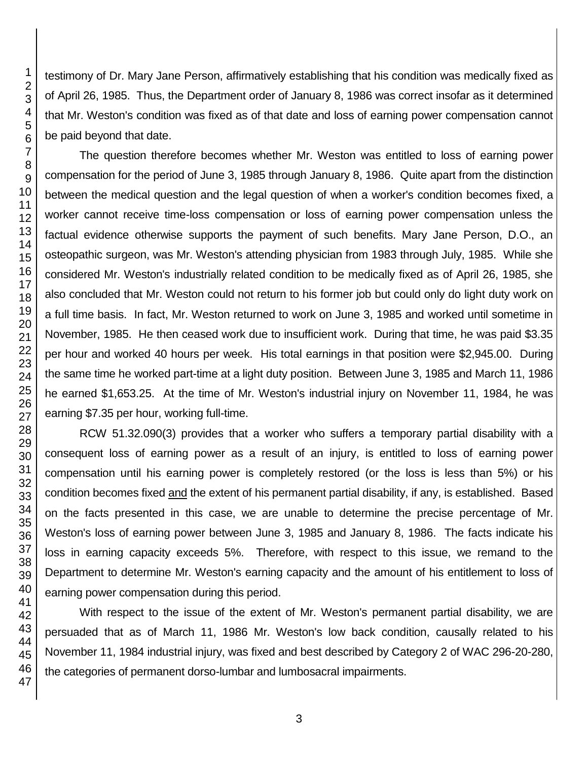testimony of Dr. Mary Jane Person, affirmatively establishing that his condition was medically fixed as of April 26, 1985. Thus, the Department order of January 8, 1986 was correct insofar as it determined that Mr. Weston's condition was fixed as of that date and loss of earning power compensation cannot be paid beyond that date.

The question therefore becomes whether Mr. Weston was entitled to loss of earning power compensation for the period of June 3, 1985 through January 8, 1986. Quite apart from the distinction between the medical question and the legal question of when a worker's condition becomes fixed, a worker cannot receive time-loss compensation or loss of earning power compensation unless the factual evidence otherwise supports the payment of such benefits. Mary Jane Person, D.O., an osteopathic surgeon, was Mr. Weston's attending physician from 1983 through July, 1985. While she considered Mr. Weston's industrially related condition to be medically fixed as of April 26, 1985, she also concluded that Mr. Weston could not return to his former job but could only do light duty work on a full time basis. In fact, Mr. Weston returned to work on June 3, 1985 and worked until sometime in November, 1985. He then ceased work due to insufficient work. During that time, he was paid \$3.35 per hour and worked 40 hours per week. His total earnings in that position were \$2,945.00. During the same time he worked part-time at a light duty position. Between June 3, 1985 and March 11, 1986 he earned \$1,653.25. At the time of Mr. Weston's industrial injury on November 11, 1984, he was earning \$7.35 per hour, working full-time.

RCW 51.32.090(3) provides that a worker who suffers a temporary partial disability with a consequent loss of earning power as a result of an injury, is entitled to loss of earning power compensation until his earning power is completely restored (or the loss is less than 5%) or his condition becomes fixed and the extent of his permanent partial disability, if any, is established. Based on the facts presented in this case, we are unable to determine the precise percentage of Mr. Weston's loss of earning power between June 3, 1985 and January 8, 1986. The facts indicate his loss in earning capacity exceeds 5%. Therefore, with respect to this issue, we remand to the Department to determine Mr. Weston's earning capacity and the amount of his entitlement to loss of earning power compensation during this period.

With respect to the issue of the extent of Mr. Weston's permanent partial disability, we are persuaded that as of March 11, 1986 Mr. Weston's low back condition, causally related to his November 11, 1984 industrial injury, was fixed and best described by Category 2 of WAC 296-20-280, the categories of permanent dorso-lumbar and lumbosacral impairments.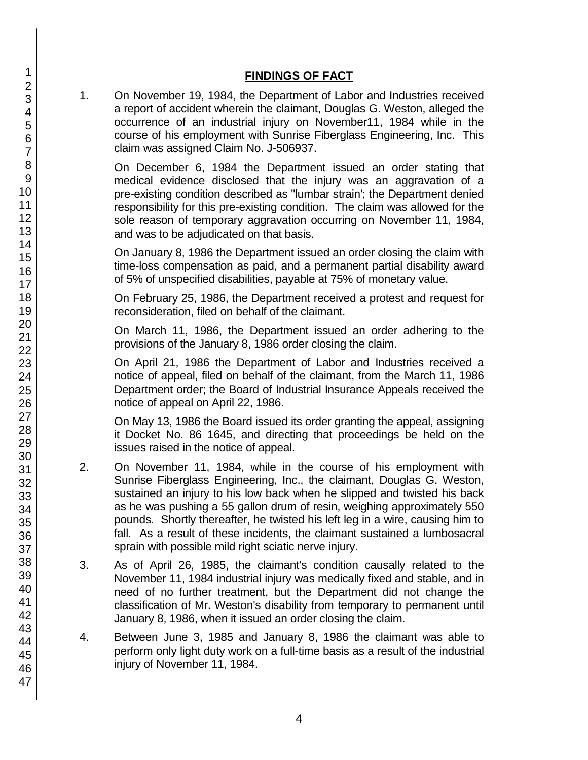## **FINDINGS OF FACT**

1. On November 19, 1984, the Department of Labor and Industries received a report of accident wherein the claimant, Douglas G. Weston, alleged the occurrence of an industrial injury on November11, 1984 while in the course of his employment with Sunrise Fiberglass Engineering, Inc. This claim was assigned Claim No. J-506937.

On December 6, 1984 the Department issued an order stating that medical evidence disclosed that the injury was an aggravation of a pre-existing condition described as "lumbar strain'; the Department denied responsibility for this pre-existing condition. The claim was allowed for the sole reason of temporary aggravation occurring on November 11, 1984, and was to be adjudicated on that basis.

On January 8, 1986 the Department issued an order closing the claim with time-loss compensation as paid, and a permanent partial disability award of 5% of unspecified disabilities, payable at 75% of monetary value.

On February 25, 1986, the Department received a protest and request for reconsideration, filed on behalf of the claimant.

On March 11, 1986, the Department issued an order adhering to the provisions of the January 8, 1986 order closing the claim.

On April 21, 1986 the Department of Labor and Industries received a notice of appeal, filed on behalf of the claimant, from the March 11, 1986 Department order; the Board of Industrial Insurance Appeals received the notice of appeal on April 22, 1986.

On May 13, 1986 the Board issued its order granting the appeal, assigning it Docket No. 86 1645, and directing that proceedings be held on the issues raised in the notice of appeal.

- 2. On November 11, 1984, while in the course of his employment with Sunrise Fiberglass Engineering, Inc., the claimant, Douglas G. Weston, sustained an injury to his low back when he slipped and twisted his back as he was pushing a 55 gallon drum of resin, weighing approximately 550 pounds. Shortly thereafter, he twisted his left leg in a wire, causing him to fall. As a result of these incidents, the claimant sustained a lumbosacral sprain with possible mild right sciatic nerve injury.
- 3. As of April 26, 1985, the claimant's condition causally related to the November 11, 1984 industrial injury was medically fixed and stable, and in need of no further treatment, but the Department did not change the classification of Mr. Weston's disability from temporary to permanent until January 8, 1986, when it issued an order closing the claim.
- 4. Between June 3, 1985 and January 8, 1986 the claimant was able to perform only light duty work on a full-time basis as a result of the industrial injury of November 11, 1984.